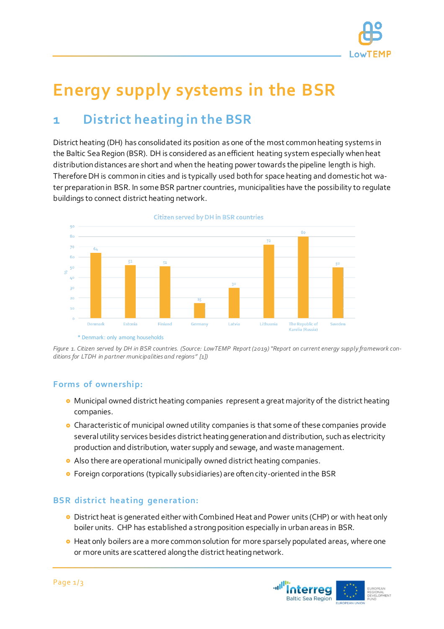

# **Energy supply systems in the BSR**

# **1 District heating in the BSR**

District heating (DH) has consolidated its position as one of the most common heating systems in the Baltic Sea Region (BSR). DH is considered as an efficient heating system especially when heat distribution distances are short and when the heating power towards the pipeline length is high. Therefore DH is common in cities and is typically used both for space heating and domestic hot water preparation in BSR. In some BSR partner countries, municipalities have the possibility to regulate buildings to connect district heating network.



\* Denmark: only among households



#### **Forms of ownership:**

- Municipal owned district heating companies represent a great majority of the district heating companies.
- **•** Characteristic of municipal owned utility companies is that some of these companies provide several utility services besides district heating generation and distribution, such as electricity production and distribution, water supply and sewage, and waste management.
- Also there are operational municipally owned district heating companies.
- Foreign corporations (typically subsidiaries) are often city-oriented in the BSR

#### **BSR district heating generation:**

- District heat is generated either with Combined Heat and Power units (CHP) or with heat only boiler units. CHP has established a strong position especially in urban areas in BSR.
- **•** Heat only boilers are a more common solution for more sparsely populated areas, where one or more units are scattered along the district heating network.

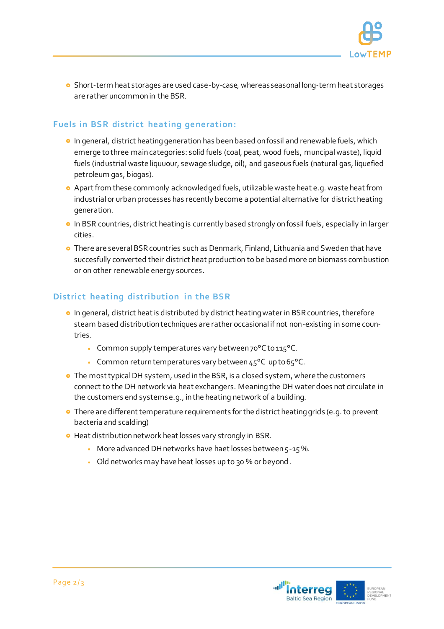

**o** Short-term heat storages are used case-by-case, whereas seasonal long-term heat storages are rather uncommon in the BSR.

## **Fuels in BSR district heating generation:**

- **In general, district heating generation has been based on fossil and renewable fuels, which** emerge to three main categories: solid fuels (coal, peat, wood fuels, muncipal waste), liquid fuels (industrial waste liquuour, sewage sludge, oil), and gaseous fuels (natural gas, liquefied petroleum gas, biogas).
- Apart from these commonly acknowledged fuels, utilizable waste heat e.g. waste heat from industrial or urban processes has recently become a potential alternative for district heating generation.
- **In BSR countries, district heating is currently based strongly on fossil fuels, especially in larger** cities.
- **o** There are several BSR countries such as Denmark, Finland, Lithuania and Sweden that have succesfully converted their district heat production to be based more on biomass combustion or on other renewable energy sources.

# **District heating distribution in the BSR**

- **o** In general, district heat is distributed by district heating water in BSR countries, therefore steam based distribution techniques are rather occasional if not non-existing in some countries.
	- Common supply temperatures vary between 70°C to 115°C.
	- Common return temperatures vary between 45°C up to 65°C.
- **o** The most typical DH system, used in the BSR, is a closed system, where the customers connect to the DH network via heat exchangers. Meaning the DH water does not circulate in the customers end systems e.g., in the heating network of a building.
- **•** There are different temperature requirements for the district heating grids (e.g. to prevent bacteria and scalding)
- Heat distribution network heat losses vary strongly in BSR.
	- More advanced DH networks have haet losses between 5-15%.
	- Old networks may have heat losses up to 30 % or beyond.